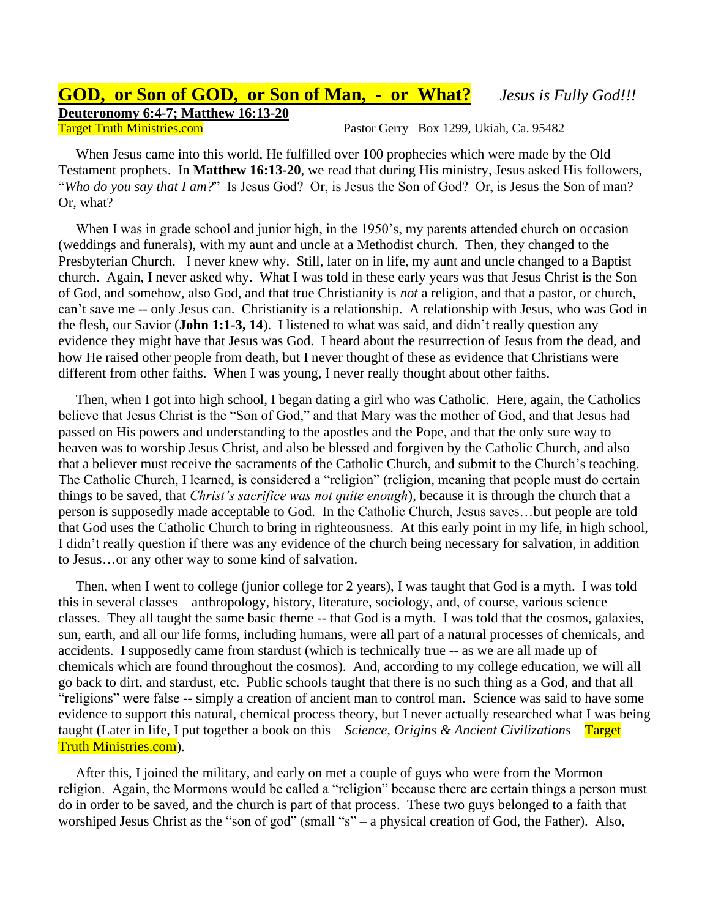## **GOD, or Son of GOD, or Son of Man, - or What?** *Jesus is Fully God!!!* **Deuteronomy 6:4-7; Matthew 16:13-20**

Target Truth Ministries.com **Pastor Gerry Box 1299**, Ukiah, Ca. 95482

 When Jesus came into this world, He fulfilled over 100 prophecies which were made by the Old Testament prophets. In **Matthew 16:13-20**, we read that during His ministry, Jesus asked His followers, "*Who do you say that I am?*" Is Jesus God? Or, is Jesus the Son of God? Or, is Jesus the Son of man? Or, what?

 When I was in grade school and junior high, in the 1950's, my parents attended church on occasion (weddings and funerals), with my aunt and uncle at a Methodist church. Then, they changed to the Presbyterian Church. I never knew why. Still, later on in life, my aunt and uncle changed to a Baptist church. Again, I never asked why. What I was told in these early years was that Jesus Christ is the Son of God, and somehow, also God, and that true Christianity is *not* a religion, and that a pastor, or church, can't save me -- only Jesus can. Christianity is a relationship. A relationship with Jesus, who was God in the flesh, our Savior (**John 1:1-3, 14**). I listened to what was said, and didn't really question any evidence they might have that Jesus was God. I heard about the resurrection of Jesus from the dead, and how He raised other people from death, but I never thought of these as evidence that Christians were different from other faiths. When I was young, I never really thought about other faiths.

 Then, when I got into high school, I began dating a girl who was Catholic. Here, again, the Catholics believe that Jesus Christ is the "Son of God," and that Mary was the mother of God, and that Jesus had passed on His powers and understanding to the apostles and the Pope, and that the only sure way to heaven was to worship Jesus Christ, and also be blessed and forgiven by the Catholic Church, and also that a believer must receive the sacraments of the Catholic Church, and submit to the Church's teaching. The Catholic Church, I learned, is considered a "religion" (religion, meaning that people must do certain things to be saved, that *Christ's sacrifice was not quite enough*), because it is through the church that a person is supposedly made acceptable to God. In the Catholic Church, Jesus saves…but people are told that God uses the Catholic Church to bring in righteousness. At this early point in my life, in high school, I didn't really question if there was any evidence of the church being necessary for salvation, in addition to Jesus…or any other way to some kind of salvation.

 Then, when I went to college (junior college for 2 years), I was taught that God is a myth. I was told this in several classes – anthropology, history, literature, sociology, and, of course, various science classes. They all taught the same basic theme -- that God is a myth. I was told that the cosmos, galaxies, sun, earth, and all our life forms, including humans, were all part of a natural processes of chemicals, and accidents. I supposedly came from stardust (which is technically true -- as we are all made up of chemicals which are found throughout the cosmos). And, according to my college education, we will all go back to dirt, and stardust, etc. Public schools taught that there is no such thing as a God, and that all "religions" were false -- simply a creation of ancient man to control man. Science was said to have some evidence to support this natural, chemical process theory, but I never actually researched what I was being taught (Later in life, I put together a book on this—*Science, Origins & Ancient Civilizations*—Target Truth Ministries.com).

 After this, I joined the military, and early on met a couple of guys who were from the Mormon religion. Again, the Mormons would be called a "religion" because there are certain things a person must do in order to be saved, and the church is part of that process. These two guys belonged to a faith that worshiped Jesus Christ as the "son of god" (small "s" – a physical creation of God, the Father). Also,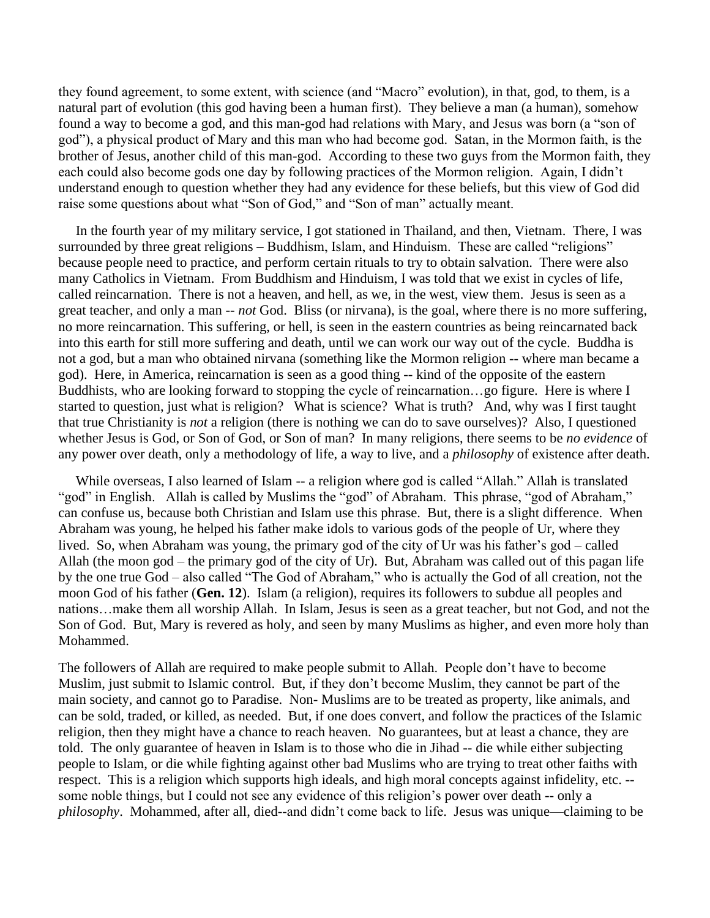they found agreement, to some extent, with science (and "Macro" evolution), in that, god, to them, is a natural part of evolution (this god having been a human first). They believe a man (a human), somehow found a way to become a god, and this man-god had relations with Mary, and Jesus was born (a "son of god"), a physical product of Mary and this man who had become god. Satan, in the Mormon faith, is the brother of Jesus, another child of this man-god. According to these two guys from the Mormon faith, they each could also become gods one day by following practices of the Mormon religion. Again, I didn't understand enough to question whether they had any evidence for these beliefs, but this view of God did raise some questions about what "Son of God," and "Son of man" actually meant.

 In the fourth year of my military service, I got stationed in Thailand, and then, Vietnam. There, I was surrounded by three great religions – Buddhism, Islam, and Hinduism. These are called "religions" because people need to practice, and perform certain rituals to try to obtain salvation. There were also many Catholics in Vietnam. From Buddhism and Hinduism, I was told that we exist in cycles of life, called reincarnation. There is not a heaven, and hell, as we, in the west, view them. Jesus is seen as a great teacher, and only a man -- *not* God. Bliss (or nirvana), is the goal, where there is no more suffering, no more reincarnation. This suffering, or hell, is seen in the eastern countries as being reincarnated back into this earth for still more suffering and death, until we can work our way out of the cycle. Buddha is not a god, but a man who obtained nirvana (something like the Mormon religion -- where man became a god). Here, in America, reincarnation is seen as a good thing -- kind of the opposite of the eastern Buddhists, who are looking forward to stopping the cycle of reincarnation…go figure. Here is where I started to question, just what is religion? What is science? What is truth? And, why was I first taught that true Christianity is *not* a religion (there is nothing we can do to save ourselves)? Also, I questioned whether Jesus is God, or Son of God, or Son of man? In many religions, there seems to be *no evidence* of any power over death, only a methodology of life, a way to live, and a *philosophy* of existence after death.

 While overseas, I also learned of Islam -- a religion where god is called "Allah." Allah is translated "god" in English. Allah is called by Muslims the "god" of Abraham. This phrase, "god of Abraham," can confuse us, because both Christian and Islam use this phrase. But, there is a slight difference. When Abraham was young, he helped his father make idols to various gods of the people of Ur, where they lived. So, when Abraham was young, the primary god of the city of Ur was his father's god – called Allah (the moon god – the primary god of the city of Ur). But, Abraham was called out of this pagan life by the one true God – also called "The God of Abraham," who is actually the God of all creation, not the moon God of his father (**Gen. 12**). Islam (a religion), requires its followers to subdue all peoples and nations…make them all worship Allah. In Islam, Jesus is seen as a great teacher, but not God, and not the Son of God. But, Mary is revered as holy, and seen by many Muslims as higher, and even more holy than Mohammed.

The followers of Allah are required to make people submit to Allah. People don't have to become Muslim, just submit to Islamic control. But, if they don't become Muslim, they cannot be part of the main society, and cannot go to Paradise. Non- Muslims are to be treated as property, like animals, and can be sold, traded, or killed, as needed. But, if one does convert, and follow the practices of the Islamic religion, then they might have a chance to reach heaven. No guarantees, but at least a chance, they are told. The only guarantee of heaven in Islam is to those who die in Jihad -- die while either subjecting people to Islam, or die while fighting against other bad Muslims who are trying to treat other faiths with respect. This is a religion which supports high ideals, and high moral concepts against infidelity, etc. - some noble things, but I could not see any evidence of this religion's power over death -- only a *philosophy*. Mohammed, after all, died--and didn't come back to life. Jesus was unique—claiming to be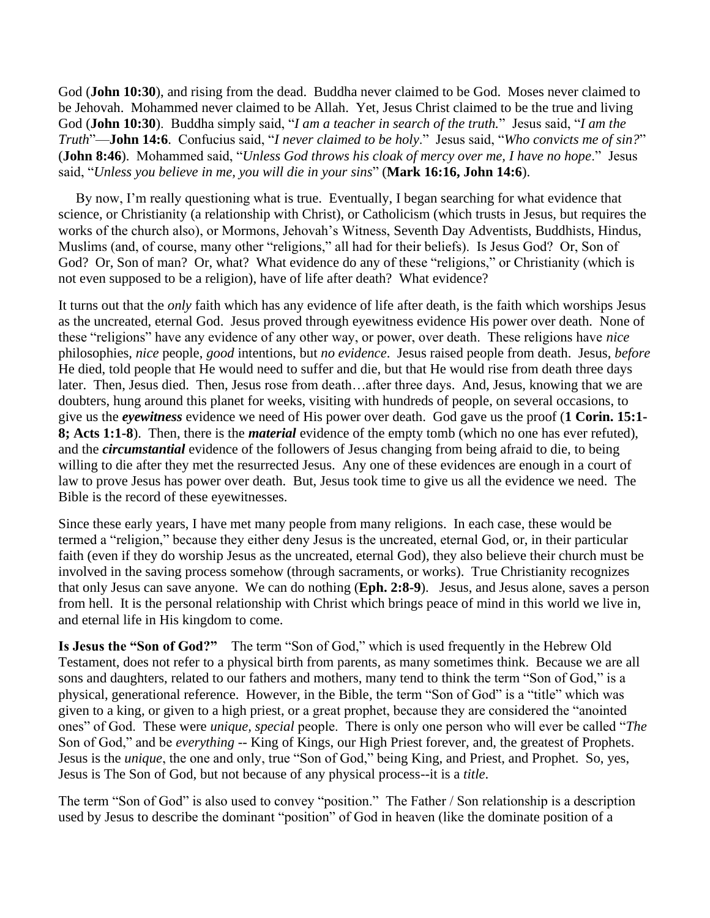God (**John 10:30**), and rising from the dead. Buddha never claimed to be God. Moses never claimed to be Jehovah. Mohammed never claimed to be Allah. Yet, Jesus Christ claimed to be the true and living God (**John 10:30**). Buddha simply said, "*I am a teacher in search of the truth.*" Jesus said, "*I am the Truth*"—**John 14:6**. Confucius said, "*I never claimed to be holy*." Jesus said, "*Who convicts me of sin?*" (**John 8:46**). Mohammed said, "*Unless God throws his cloak of mercy over me, I have no hope*." Jesus said, "*Unless you believe in me, you will die in your sins*" (**Mark 16:16, John 14:6**).

 By now, I'm really questioning what is true. Eventually, I began searching for what evidence that science, or Christianity (a relationship with Christ), or Catholicism (which trusts in Jesus, but requires the works of the church also), or Mormons, Jehovah's Witness, Seventh Day Adventists, Buddhists, Hindus, Muslims (and, of course, many other "religions," all had for their beliefs). Is Jesus God? Or, Son of God? Or, Son of man? Or, what? What evidence do any of these "religions," or Christianity (which is not even supposed to be a religion), have of life after death? What evidence?

It turns out that the *only* faith which has any evidence of life after death, is the faith which worships Jesus as the uncreated, eternal God. Jesus proved through eyewitness evidence His power over death. None of these "religions" have any evidence of any other way, or power, over death. These religions have *nice* philosophies, *nice* people, *good* intentions, but *no evidence*. Jesus raised people from death. Jesus, *before*  He died, told people that He would need to suffer and die, but that He would rise from death three days later. Then, Jesus died. Then, Jesus rose from death…after three days. And, Jesus, knowing that we are doubters, hung around this planet for weeks, visiting with hundreds of people, on several occasions, to give us the *eyewitness* evidence we need of His power over death. God gave us the proof (**1 Corin. 15:1- 8; Acts 1:1-8**). Then, there is the *material* evidence of the empty tomb (which no one has ever refuted), and the *circumstantial* evidence of the followers of Jesus changing from being afraid to die, to being willing to die after they met the resurrected Jesus. Any one of these evidences are enough in a court of law to prove Jesus has power over death. But, Jesus took time to give us all the evidence we need. The Bible is the record of these eyewitnesses.

Since these early years, I have met many people from many religions. In each case, these would be termed a "religion," because they either deny Jesus is the uncreated, eternal God, or, in their particular faith (even if they do worship Jesus as the uncreated, eternal God), they also believe their church must be involved in the saving process somehow (through sacraments, or works). True Christianity recognizes that only Jesus can save anyone. We can do nothing (**Eph. 2:8-9**). Jesus, and Jesus alone, saves a person from hell. It is the personal relationship with Christ which brings peace of mind in this world we live in, and eternal life in His kingdom to come.

**Is Jesus the "Son of God?"** The term "Son of God," which is used frequently in the Hebrew Old Testament, does not refer to a physical birth from parents, as many sometimes think. Because we are all sons and daughters, related to our fathers and mothers, many tend to think the term "Son of God," is a physical, generational reference. However, in the Bible, the term "Son of God" is a "title" which was given to a king, or given to a high priest, or a great prophet, because they are considered the "anointed ones" of God. These were *unique, special* people. There is only one person who will ever be called "*The*  Son of God," and be *everything* -- King of Kings, our High Priest forever, and, the greatest of Prophets. Jesus is the *unique*, the one and only, true "Son of God," being King, and Priest, and Prophet. So, yes, Jesus is The Son of God, but not because of any physical process--it is a *title*.

The term "Son of God" is also used to convey "position." The Father / Son relationship is a description used by Jesus to describe the dominant "position" of God in heaven (like the dominate position of a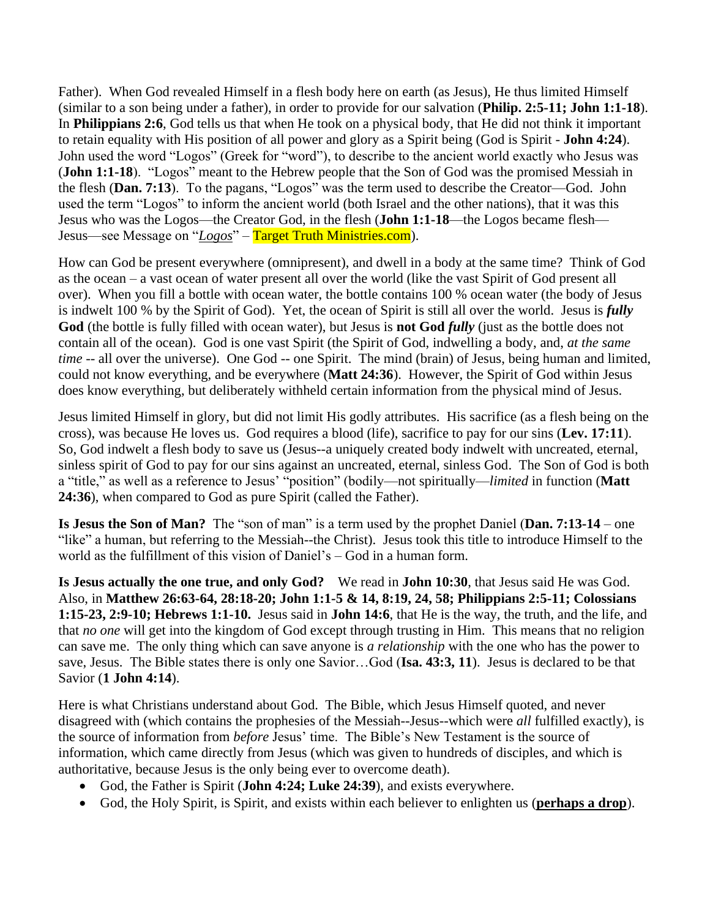Father). When God revealed Himself in a flesh body here on earth (as Jesus), He thus limited Himself (similar to a son being under a father), in order to provide for our salvation (**Philip. 2:5-11; John 1:1-18**). In **Philippians 2:6**, God tells us that when He took on a physical body, that He did not think it important to retain equality with His position of all power and glory as a Spirit being (God is Spirit - **John 4:24**). John used the word "Logos" (Greek for "word"), to describe to the ancient world exactly who Jesus was (**John 1:1-18**). "Logos" meant to the Hebrew people that the Son of God was the promised Messiah in the flesh (**Dan. 7:13**). To the pagans, "Logos" was the term used to describe the Creator—God. John used the term "Logos" to inform the ancient world (both Israel and the other nations), that it was this Jesus who was the Logos—the Creator God, in the flesh (**John 1:1-18**—the Logos became flesh— Jesus—see Message on "*Logos*" – Target Truth Ministries.com).

How can God be present everywhere (omnipresent), and dwell in a body at the same time? Think of God as the ocean – a vast ocean of water present all over the world (like the vast Spirit of God present all over). When you fill a bottle with ocean water, the bottle contains 100 % ocean water (the body of Jesus is indwelt 100 % by the Spirit of God). Yet, the ocean of Spirit is still all over the world. Jesus is *fully* God (the bottle is fully filled with ocean water), but Jesus is **not God** *fully* (just as the bottle does not contain all of the ocean). God is one vast Spirit (the Spirit of God, indwelling a body, and, *at the same time* -- all over the universe). One God -- one Spirit. The mind (brain) of Jesus, being human and limited, could not know everything, and be everywhere (**Matt 24:36**). However, the Spirit of God within Jesus does know everything, but deliberately withheld certain information from the physical mind of Jesus.

Jesus limited Himself in glory, but did not limit His godly attributes. His sacrifice (as a flesh being on the cross), was because He loves us. God requires a blood (life), sacrifice to pay for our sins (**Lev. 17:11**). So, God indwelt a flesh body to save us (Jesus--a uniquely created body indwelt with uncreated, eternal, sinless spirit of God to pay for our sins against an uncreated, eternal, sinless God. The Son of God is both a "title," as well as a reference to Jesus' "position" (bodily—not spiritually—*limited* in function (**Matt 24:36**), when compared to God as pure Spirit (called the Father).

**Is Jesus the Son of Man?** The "son of man" is a term used by the prophet Daniel (**Dan. 7:13-14** – one "like" a human, but referring to the Messiah--the Christ). Jesus took this title to introduce Himself to the world as the fulfillment of this vision of Daniel's – God in a human form.

**Is Jesus actually the one true, and only God?** We read in **John 10:30**, that Jesus said He was God. Also, in **Matthew 26:63-64, 28:18-20; John 1:1-5 & 14, 8:19, 24, 58; Philippians 2:5-11; Colossians 1:15-23, 2:9-10; Hebrews 1:1-10.** Jesus said in **John 14:6**, that He is the way, the truth, and the life, and that *no one* will get into the kingdom of God except through trusting in Him. This means that no religion can save me. The only thing which can save anyone is *a relationship* with the one who has the power to save, Jesus. The Bible states there is only one Savior…God (**Isa. 43:3, 11**). Jesus is declared to be that Savior (**1 John 4:14**).

Here is what Christians understand about God. The Bible, which Jesus Himself quoted, and never disagreed with (which contains the prophesies of the Messiah--Jesus--which were *all* fulfilled exactly), is the source of information from *before* Jesus' time. The Bible's New Testament is the source of information, which came directly from Jesus (which was given to hundreds of disciples, and which is authoritative, because Jesus is the only being ever to overcome death).

- God, the Father is Spirit (**John 4:24; Luke 24:39**), and exists everywhere.
- God, the Holy Spirit, is Spirit, and exists within each believer to enlighten us (**perhaps a drop**).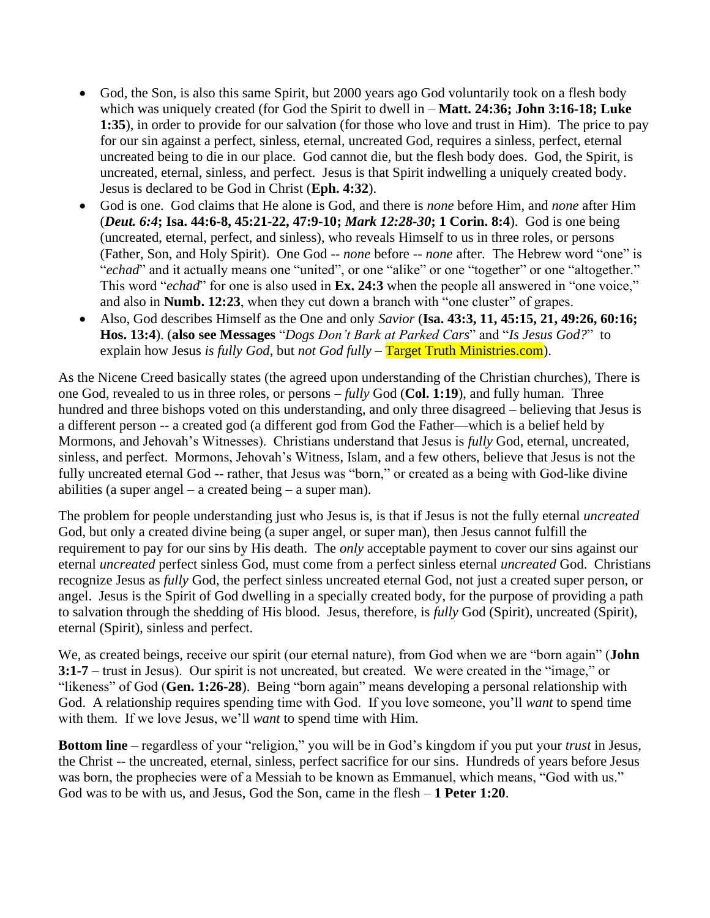- God, the Son, is also this same Spirit, but 2000 years ago God voluntarily took on a flesh body which was uniquely created (for God the Spirit to dwell in – **Matt. 24:36; John 3:16-18; Luke 1:35**), in order to provide for our salvation (for those who love and trust in Him). The price to pay for our sin against a perfect, sinless, eternal, uncreated God, requires a sinless, perfect, eternal uncreated being to die in our place. God cannot die, but the flesh body does. God, the Spirit, is uncreated, eternal, sinless, and perfect. Jesus is that Spirit indwelling a uniquely created body. Jesus is declared to be God in Christ (**Eph. 4:32**).
- God is one. God claims that He alone is God, and there is *none* before Him, and *none* after Him (*Deut. 6:4***; Isa. 44:6-8, 45:21-22, 47:9-10;** *Mark 12:28-30***; 1 Corin. 8:4**). God is one being (uncreated, eternal, perfect, and sinless), who reveals Himself to us in three roles, or persons (Father, Son, and Holy Spirit). One God -- *none* before -- *none* after. The Hebrew word "one" is "echad" and it actually means one "united", or one "alike" or one "together" or one "altogether." This word "*echad*" for one is also used in **Ex. 24:3** when the people all answered in "one voice," and also in **Numb. 12:23**, when they cut down a branch with "one cluster" of grapes.
- Also, God describes Himself as the One and only *Savior* (**Isa. 43:3, 11, 45:15, 21, 49:26, 60:16; Hos. 13:4**). (**also see Messages** "*Dogs Don't Bark at Parked Cars*" and "*Is Jesus God?*" to explain how Jesus *is fully God*, but *not God fully* – Target Truth Ministries.com).

As the Nicene Creed basically states (the agreed upon understanding of the Christian churches), There is one God, revealed to us in three roles, or persons – *fully* God (**Col. 1:19**), and fully human. Three hundred and three bishops voted on this understanding, and only three disagreed – believing that Jesus is a different person -- a created god (a different god from God the Father—which is a belief held by Mormons, and Jehovah's Witnesses). Christians understand that Jesus is *fully* God, eternal, uncreated, sinless, and perfect. Mormons, Jehovah's Witness, Islam, and a few others, believe that Jesus is not the fully uncreated eternal God -- rather, that Jesus was "born," or created as a being with God-like divine abilities (a super angel – a created being – a super man).

The problem for people understanding just who Jesus is, is that if Jesus is not the fully eternal *uncreated* God, but only a created divine being (a super angel, or super man), then Jesus cannot fulfill the requirement to pay for our sins by His death. The *only* acceptable payment to cover our sins against our eternal *uncreated* perfect sinless God, must come from a perfect sinless eternal *uncreated* God. Christians recognize Jesus as *fully* God, the perfect sinless uncreated eternal God, not just a created super person, or angel. Jesus is the Spirit of God dwelling in a specially created body, for the purpose of providing a path to salvation through the shedding of His blood. Jesus, therefore, is *fully* God (Spirit), uncreated (Spirit), eternal (Spirit), sinless and perfect.

We, as created beings, receive our spirit (our eternal nature), from God when we are "born again" (**John 3:1-7** – trust in Jesus). Our spirit is not uncreated, but created. We were created in the "image," or "likeness" of God (**Gen. 1:26-28**). Being "born again" means developing a personal relationship with God. A relationship requires spending time with God. If you love someone, you'll *want* to spend time with them. If we love Jesus, we'll *want* to spend time with Him.

**Bottom line** – regardless of your "religion," you will be in God's kingdom if you put your *trust* in Jesus, the Christ -- the uncreated, eternal, sinless, perfect sacrifice for our sins. Hundreds of years before Jesus was born, the prophecies were of a Messiah to be known as Emmanuel, which means, "God with us." God was to be with us, and Jesus, God the Son, came in the flesh – **1 Peter 1:20**.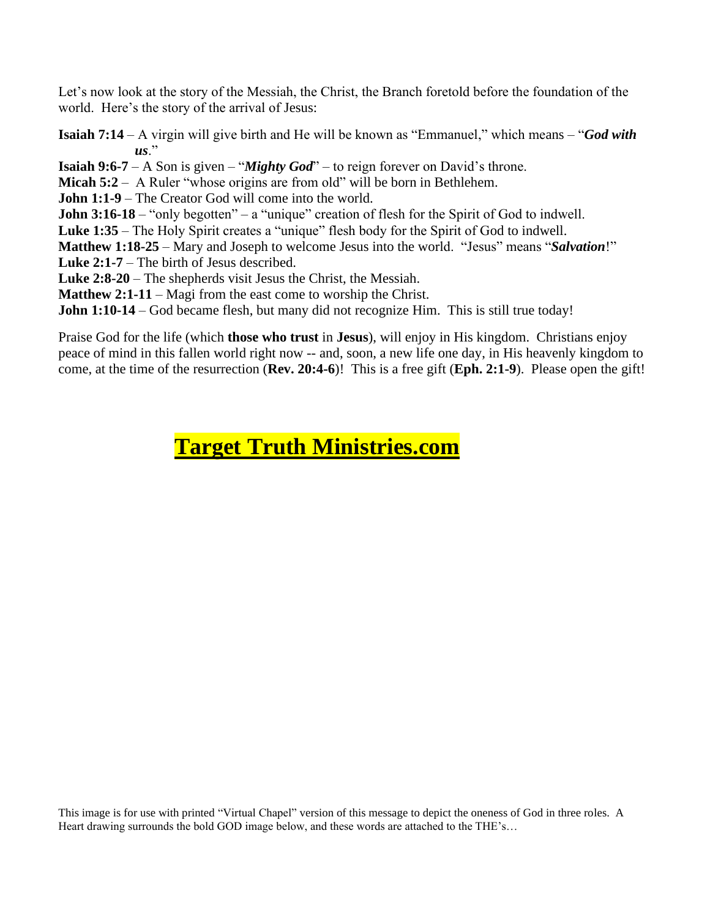Let's now look at the story of the Messiah, the Christ, the Branch foretold before the foundation of the world. Here's the story of the arrival of Jesus:

**Isaiah 7:14** – A virgin will give birth and He will be known as "Emmanuel," which means – "*God with*   $\overline{u}$ s."

**Isaiah 9:6-7** – A Son is given – "*Mighty God*" – to reign forever on David's throne.

**Micah 5:2** – A Ruler "whose origins are from old" will be born in Bethlehem.

**John 1:1-9** – The Creator God will come into the world.

**John 3:16-18** – "only begotten" – a "unique" creation of flesh for the Spirit of God to indwell.

**Luke 1:35** – The Holy Spirit creates a "unique" flesh body for the Spirit of God to indwell.

**Matthew 1:18-25** – Mary and Joseph to welcome Jesus into the world. "Jesus" means "*Salvation*!" **Luke 2:1-7** – The birth of Jesus described.

**Luke 2:8-20** – The shepherds visit Jesus the Christ, the Messiah.

**Matthew 2:1-11** – Magi from the east come to worship the Christ.

**John 1:10-14** – God became flesh, but many did not recognize Him. This is still true today!

Praise God for the life (which **those who trust** in **Jesus**), will enjoy in His kingdom. Christians enjoy peace of mind in this fallen world right now -- and, soon, a new life one day, in His heavenly kingdom to come, at the time of the resurrection (**Rev. 20:4-6**)! This is a free gift (**Eph. 2:1-9**). Please open the gift!

## **Target Truth Ministries.com**

This image is for use with printed "Virtual Chapel" version of this message to depict the oneness of God in three roles. A Heart drawing surrounds the bold GOD image below, and these words are attached to the THE's…